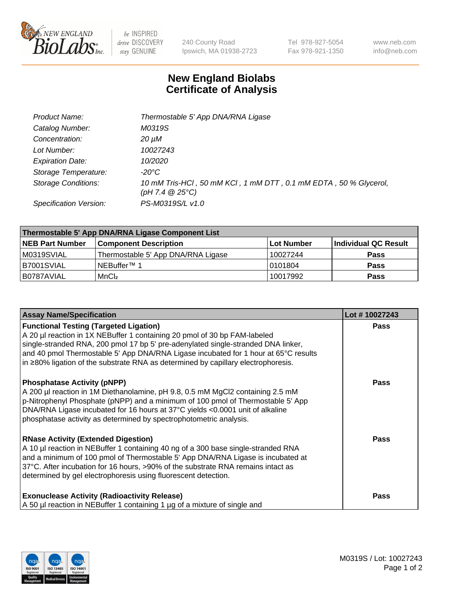

 $be$  INSPIRED drive DISCOVERY stay GENUINE

240 County Road Ipswich, MA 01938-2723 Tel 978-927-5054 Fax 978-921-1350 www.neb.com info@neb.com

## **New England Biolabs Certificate of Analysis**

| Product Name:              | Thermostable 5' App DNA/RNA Ligase                                                    |
|----------------------------|---------------------------------------------------------------------------------------|
| Catalog Number:            | M0319S                                                                                |
| Concentration:             | 20 µM                                                                                 |
| Lot Number:                | 10027243                                                                              |
| <b>Expiration Date:</b>    | 10/2020                                                                               |
| Storage Temperature:       | -20°C                                                                                 |
| <b>Storage Conditions:</b> | 10 mM Tris-HCl, 50 mM KCl, 1 mM DTT, 0.1 mM EDTA, 50 % Glycerol,<br>(pH 7.4 $@25°C$ ) |
| Specification Version:     | PS-M0319S/L v1.0                                                                      |

| Thermostable 5' App DNA/RNA Ligase Component List |                                    |            |                      |  |  |
|---------------------------------------------------|------------------------------------|------------|----------------------|--|--|
| <b>NEB Part Number</b>                            | <b>Component Description</b>       | Lot Number | Individual QC Result |  |  |
| IM0319SVIAL                                       | Thermostable 5' App DNA/RNA Ligase | 10027244   | <b>Pass</b>          |  |  |
| B7001SVIAL                                        | <sup>1</sup> NEBuffer™ 1           | 10101804   | <b>Pass</b>          |  |  |
| IB0787AVIAL                                       | MnCl <sub>2</sub>                  | 10017992   | <b>Pass</b>          |  |  |

| <b>Assay Name/Specification</b>                                                                                                                                                                                                                                                                                                                                                                 | Lot #10027243 |
|-------------------------------------------------------------------------------------------------------------------------------------------------------------------------------------------------------------------------------------------------------------------------------------------------------------------------------------------------------------------------------------------------|---------------|
| <b>Functional Testing (Targeted Ligation)</b><br>A 20 µl reaction in 1X NEBuffer 1 containing 20 pmol of 30 bp FAM-labeled<br>single-stranded RNA, 200 pmol 17 bp 5' pre-adenylated single-stranded DNA linker,<br>and 40 pmol Thermostable 5' App DNA/RNA Ligase incubated for 1 hour at 65°C results<br>$\ln 280\%$ ligation of the substrate RNA as determined by capillary electrophoresis. | <b>Pass</b>   |
| <b>Phosphatase Activity (pNPP)</b><br>A 200 µl reaction in 1M Diethanolamine, pH 9.8, 0.5 mM MgCl2 containing 2.5 mM<br>p-Nitrophenyl Phosphate (pNPP) and a minimum of 100 pmol of Thermostable 5' App<br>DNA/RNA Ligase incubated for 16 hours at 37°C yields <0.0001 unit of alkaline<br>phosphatase activity as determined by spectrophotometric analysis.                                  | <b>Pass</b>   |
| <b>RNase Activity (Extended Digestion)</b><br>A 10 µl reaction in NEBuffer 1 containing 40 ng of a 300 base single-stranded RNA<br>and a minimum of 100 pmol of Thermostable 5' App DNA/RNA Ligase is incubated at<br>37°C. After incubation for 16 hours, >90% of the substrate RNA remains intact as<br>determined by gel electrophoresis using fluorescent detection.                        | Pass          |
| <b>Exonuclease Activity (Radioactivity Release)</b><br>A 50 µl reaction in NEBuffer 1 containing 1 µg of a mixture of single and                                                                                                                                                                                                                                                                | Pass          |